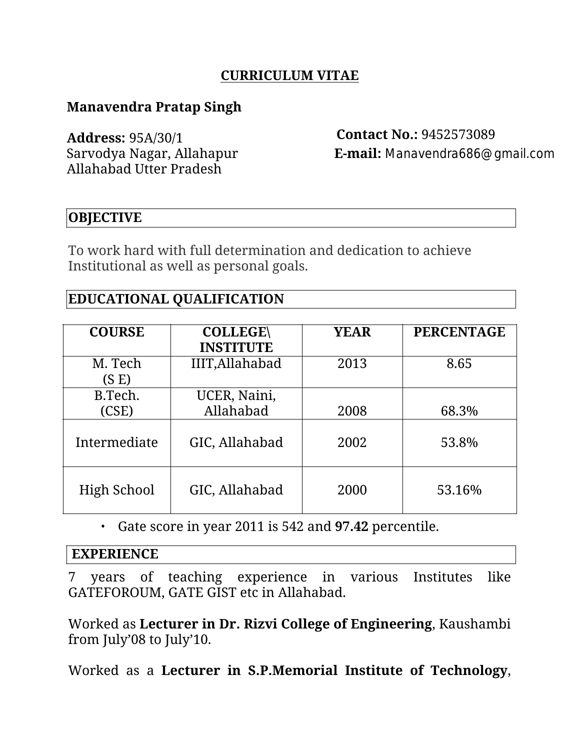## **CURRICULUM VITAE**

## **Manavendra Pratap Singh**

**Address:** 95A/30/1 **Contact No.:** 9452573089 Allahabad Utter Pradesh

Sarvodya Nagar, Allahapur **E-mail:** Manavendra686@gmail.com

## **OBJECTIVE**

To work hard with full determination and dedication to achieve Institutional as well as personal goals.

## **EDUCATIONAL QUALIFICATION**

| <b>COURSE</b>    | <b>COLLEGE\</b><br><b>INSTITUTE</b> | <b>YEAR</b> | <b>PERCENTAGE</b> |
|------------------|-------------------------------------|-------------|-------------------|
| M. Tech<br>(S E) | IIIT, Allahabad                     | 2013        | 8.65              |
| B.Tech.          | UCER, Naini,                        |             |                   |
| (CSE)            | Allahabad                           | 2008        | 68.3%             |
| Intermediate     | GIC, Allahabad                      | 2002        | 53.8%             |
| High School      | GIC, Allahabad                      | 2000        | 53.16%            |

• Gate score in year 2011 is 542 and **97.42** percentile.

#### **EXPERIENCE**

7 years of teaching experience in various Institutes like GATEFOROUM, GATE GIST etc in Allahabad.

Worked as **Lecturer in Dr. Rizvi College of Engineering**, Kaushambi from July'08 to July'10.

Worked as a **Lecturer in S.P.Memorial Institute of Technology**,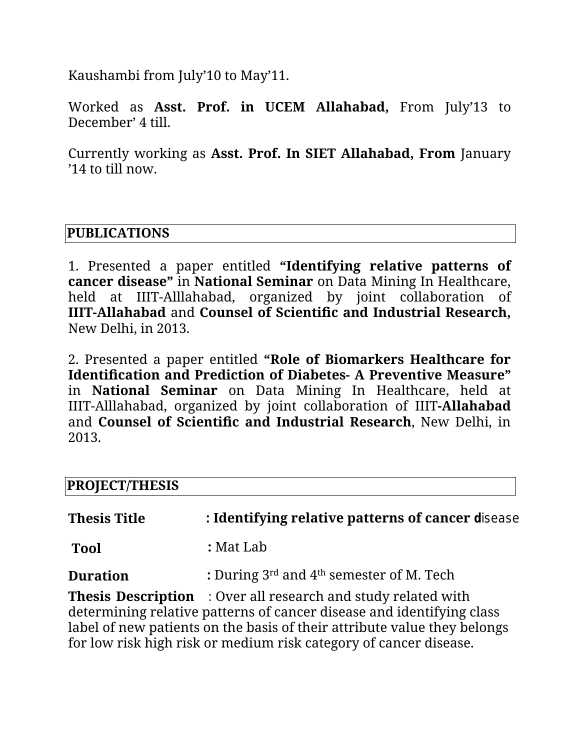Kaushambi from July'10 to May'11.

Worked as **Asst. Prof. in UCEM Allahabad,** From July'13 to December' 4 till.

Currently working as **Asst. Prof. In SIET Allahabad, From** January '14 to till now.

## **PUBLICATIONS**

1. Presented a paper entitled **"Identifying relative patterns of cancer disease"** in **National Seminar** on Data Mining In Healthcare, held at IIIT-Alllahabad, organized by joint collaboration of **IIIT-Allahabad** and **Counsel of Scientific and Industrial Research,** New Delhi, in 2013.

2. Presented apaper entitled **"Role of Biomarkers Healthcare for Identification and Prediction of Diabetes- A Preventive Measure"** in **National Seminar** on Data Mining In Healthcare, held at IIIT-Alllahabad, organized by joint collaboration of IIIT**-Allahabad** and **Counsel of Scientific and Industrial Research**, New Delhi, in 2013.

# **PROJECT/THESIS**

| <b>Thesis Title</b> | : Identifying relative patterns of cancer disease  |  |
|---------------------|----------------------------------------------------|--|
| <b>Tool</b>         | : Mat Lab                                          |  |
| <b>Duration</b>     | : During $3^{rd}$ and $4^{th}$ semester of M. Tech |  |

**Thesis Description** : Over all research and study related with determining relative patterns of cancer disease and identifying class label of new patients on the basis of their attribute value they belongs for low risk high risk or medium risk category of cancer disease.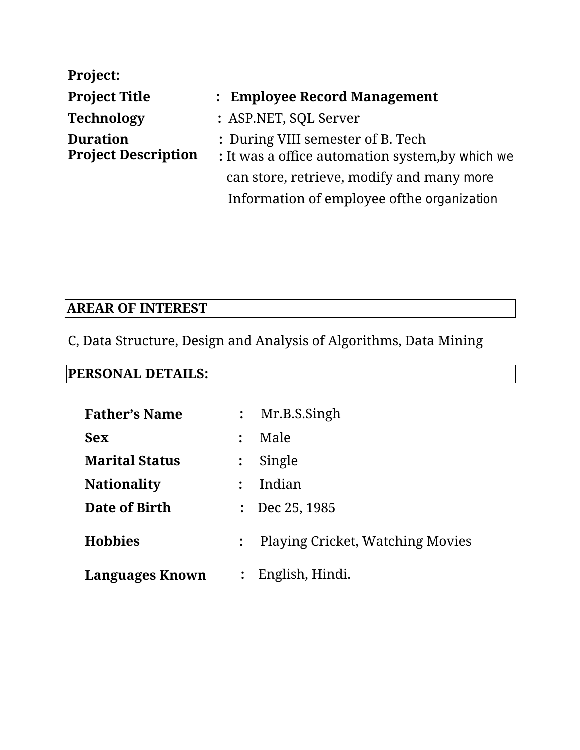| <b>Project:</b>                               |                                                                                       |  |  |
|-----------------------------------------------|---------------------------------------------------------------------------------------|--|--|
| <b>Project Title</b>                          | : Employee Record Management                                                          |  |  |
| <b>Technology</b>                             | : ASP.NET, SQL Server                                                                 |  |  |
| <b>Duration</b><br><b>Project Description</b> | : During VIII semester of B. Tech<br>: It was a office automation system, by which we |  |  |
|                                               | can store, retrieve, modify and many more                                             |  |  |
|                                               | Information of employee of the organization                                           |  |  |

# **AREAR OFINTEREST**

C, Data Structure, Design and Analysis of Algorithms, Data Mining

# **PERSONAL DETAILS:**

| <b>Father's Name</b>   | $\ddot{\cdot}$       | Mr.B.S.Singh                            |
|------------------------|----------------------|-----------------------------------------|
| <b>Sex</b>             | $\ddot{\phantom{a}}$ | Male                                    |
| <b>Marital Status</b>  | $\ddot{\cdot}$       | Single                                  |
| <b>Nationality</b>     |                      | Indian                                  |
| Date of Birth          | $\ddot{\cdot}$       | Dec 25, 1985                            |
| <b>Hobbies</b>         | $\ddot{\cdot}$       | <b>Playing Cricket, Watching Movies</b> |
| <b>Languages Known</b> | $\ddot{\cdot}$       | English, Hindi.                         |